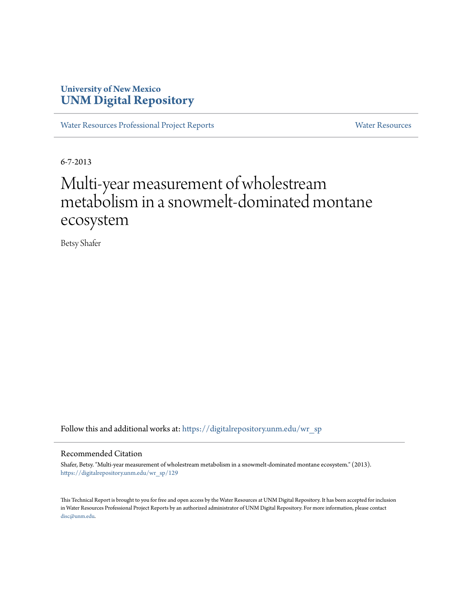## **University of New Mexico [UNM Digital Repository](https://digitalrepository.unm.edu?utm_source=digitalrepository.unm.edu%2Fwr_sp%2F129&utm_medium=PDF&utm_campaign=PDFCoverPages)**

[Water Resources Professional Project Reports](https://digitalrepository.unm.edu/wr_sp?utm_source=digitalrepository.unm.edu%2Fwr_sp%2F129&utm_medium=PDF&utm_campaign=PDFCoverPages) **[Water Resources](https://digitalrepository.unm.edu/wr?utm_source=digitalrepository.unm.edu%2Fwr_sp%2F129&utm_medium=PDF&utm_campaign=PDFCoverPages)** Water Resources

6-7-2013

# Multi-year measurement of wholestream metabolism in a snowmelt-dominated montane ecosystem

Betsy Shafer

Follow this and additional works at: [https://digitalrepository.unm.edu/wr\\_sp](https://digitalrepository.unm.edu/wr_sp?utm_source=digitalrepository.unm.edu%2Fwr_sp%2F129&utm_medium=PDF&utm_campaign=PDFCoverPages)

#### Recommended Citation

Shafer, Betsy. "Multi-year measurement of wholestream metabolism in a snowmelt-dominated montane ecosystem." (2013). [https://digitalrepository.unm.edu/wr\\_sp/129](https://digitalrepository.unm.edu/wr_sp/129?utm_source=digitalrepository.unm.edu%2Fwr_sp%2F129&utm_medium=PDF&utm_campaign=PDFCoverPages)

This Technical Report is brought to you for free and open access by the Water Resources at UNM Digital Repository. It has been accepted for inclusion in Water Resources Professional Project Reports by an authorized administrator of UNM Digital Repository. For more information, please contact [disc@unm.edu](mailto:disc@unm.edu).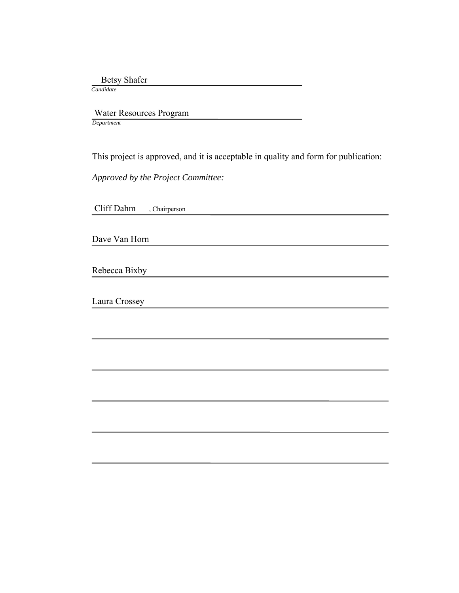Betsy Shafer

 *Candidate*

 Water Resources Program *Department*

This project is approved, and it is acceptable in quality and form for publication:

*Approved by the Project Committee:*

Cliff Dahm , Chairperson

Dave Van Horn

Rebecca Bixby

Laura Crossey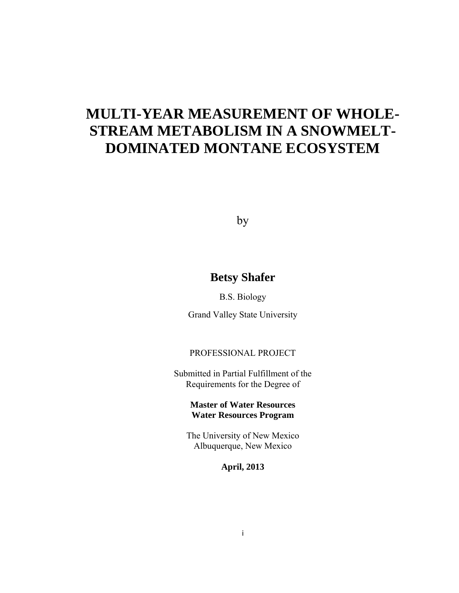## **MULTI-YEAR MEASUREMENT OF WHOLE-STREAM METABOLISM IN A SNOWMELT-DOMINATED MONTANE ECOSYSTEM**

by

## **Betsy Shafer**

B.S. Biology

Grand Valley State University

### PROFESSIONAL PROJECT

Submitted in Partial Fulfillment of the Requirements for the Degree of

> **Master of Water Resources Water Resources Program**

The University of New Mexico Albuquerque, New Mexico

**April, 2013**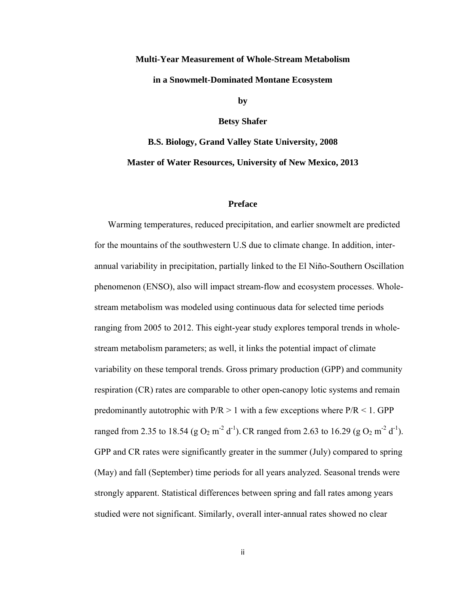## **Multi-Year Measurement of Whole-Stream Metabolism in a Snowmelt-Dominated Montane Ecosystem by**

**Betsy Shafer** 

**B.S. Biology, Grand Valley State University, 2008 Master of Water Resources, University of New Mexico, 2013** 

#### **Preface**

 Warming temperatures, reduced precipitation, and earlier snowmelt are predicted for the mountains of the southwestern U.S due to climate change. In addition, interannual variability in precipitation, partially linked to the El Niño-Southern Oscillation phenomenon (ENSO), also will impact stream-flow and ecosystem processes. Wholestream metabolism was modeled using continuous data for selected time periods ranging from 2005 to 2012. This eight-year study explores temporal trends in wholestream metabolism parameters; as well, it links the potential impact of climate variability on these temporal trends. Gross primary production (GPP) and community respiration (CR) rates are comparable to other open-canopy lotic systems and remain predominantly autotrophic with  $P/R > 1$  with a few exceptions where  $P/R < 1$ . GPP ranged from 2.35 to 18.54 (g O<sub>2</sub> m<sup>-2</sup> d<sup>-1</sup>). CR ranged from 2.63 to 16.29 (g O<sub>2</sub> m<sup>-2</sup> d<sup>-1</sup>). GPP and CR rates were significantly greater in the summer (July) compared to spring (May) and fall (September) time periods for all years analyzed. Seasonal trends were strongly apparent. Statistical differences between spring and fall rates among years studied were not significant. Similarly, overall inter-annual rates showed no clear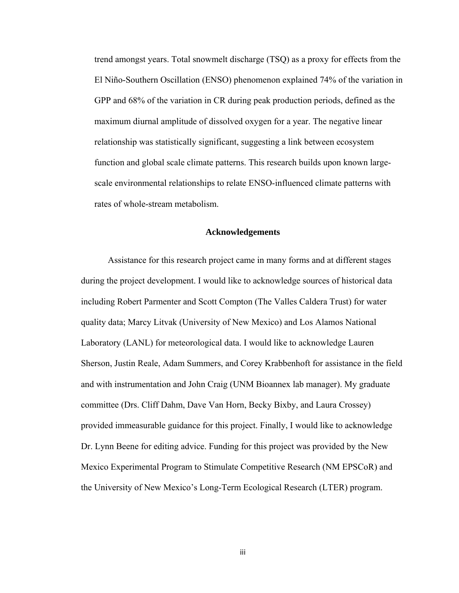trend amongst years. Total snowmelt discharge (TSQ) as a proxy for effects from the El Niño-Southern Oscillation (ENSO) phenomenon explained 74% of the variation in GPP and 68% of the variation in CR during peak production periods, defined as the maximum diurnal amplitude of dissolved oxygen for a year. The negative linear relationship was statistically significant, suggesting a link between ecosystem function and global scale climate patterns. This research builds upon known largescale environmental relationships to relate ENSO-influenced climate patterns with rates of whole-stream metabolism.

#### **Acknowledgements**

 Assistance for this research project came in many forms and at different stages during the project development. I would like to acknowledge sources of historical data including Robert Parmenter and Scott Compton (The Valles Caldera Trust) for water quality data; Marcy Litvak (University of New Mexico) and Los Alamos National Laboratory (LANL) for meteorological data. I would like to acknowledge Lauren Sherson, Justin Reale, Adam Summers, and Corey Krabbenhoft for assistance in the field and with instrumentation and John Craig (UNM Bioannex lab manager). My graduate committee (Drs. Cliff Dahm, Dave Van Horn, Becky Bixby, and Laura Crossey) provided immeasurable guidance for this project. Finally, I would like to acknowledge Dr. Lynn Beene for editing advice. Funding for this project was provided by the New Mexico Experimental Program to Stimulate Competitive Research (NM EPSCoR) and the University of New Mexico's Long-Term Ecological Research (LTER) program.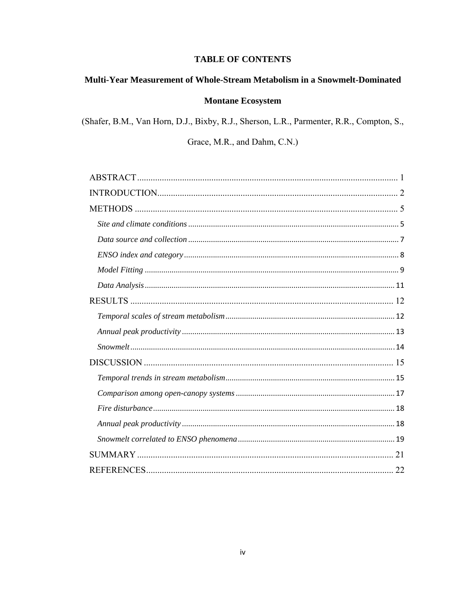### **TABLE OF CONTENTS**

## Multi-Year Measurement of Whole-Stream Metabolism in a Snowmelt-Dominated

### **Montane Ecosystem**

(Shafer, B.M., Van Horn, D.J., Bixby, R.J., Sherson, L.R., Parmenter, R.R., Compton, S.,

Grace, M.R., and Dahm, C.N.)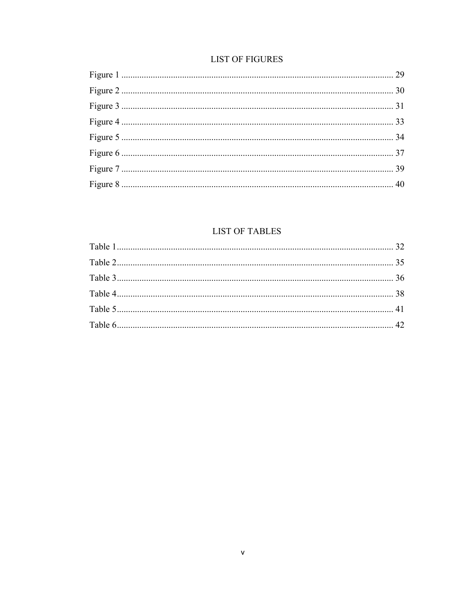## **LIST OF FIGURES**

## **LIST OF TABLES**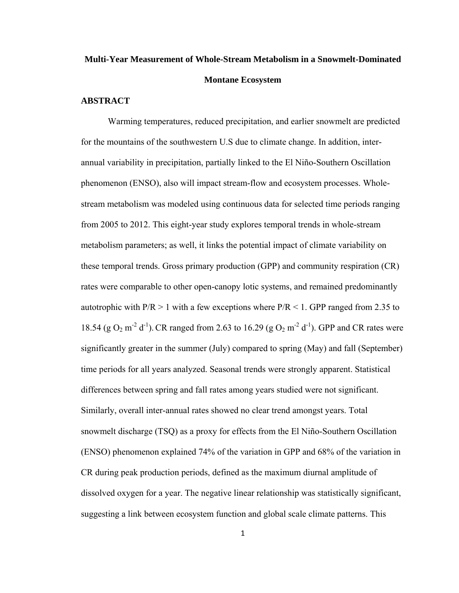## **Multi-Year Measurement of Whole-Stream Metabolism in a Snowmelt-Dominated Montane Ecosystem**

### **ABSTRACT**

 Warming temperatures, reduced precipitation, and earlier snowmelt are predicted for the mountains of the southwestern U.S due to climate change. In addition, interannual variability in precipitation, partially linked to the El Niño-Southern Oscillation phenomenon (ENSO), also will impact stream-flow and ecosystem processes. Wholestream metabolism was modeled using continuous data for selected time periods ranging from 2005 to 2012. This eight-year study explores temporal trends in whole-stream metabolism parameters; as well, it links the potential impact of climate variability on these temporal trends. Gross primary production (GPP) and community respiration (CR) rates were comparable to other open-canopy lotic systems, and remained predominantly autotrophic with  $P/R > 1$  with a few exceptions where  $P/R < 1$ . GPP ranged from 2.35 to 18.54 (g O<sub>2</sub> m<sup>-2</sup> d<sup>-1</sup>). CR ranged from 2.63 to 16.29 (g O<sub>2</sub> m<sup>-2</sup> d<sup>-1</sup>). GPP and CR rates were significantly greater in the summer (July) compared to spring (May) and fall (September) time periods for all years analyzed. Seasonal trends were strongly apparent. Statistical differences between spring and fall rates among years studied were not significant. Similarly, overall inter-annual rates showed no clear trend amongst years. Total snowmelt discharge (TSQ) as a proxy for effects from the El Niño-Southern Oscillation (ENSO) phenomenon explained 74% of the variation in GPP and 68% of the variation in CR during peak production periods, defined as the maximum diurnal amplitude of dissolved oxygen for a year. The negative linear relationship was statistically significant, suggesting a link between ecosystem function and global scale climate patterns. This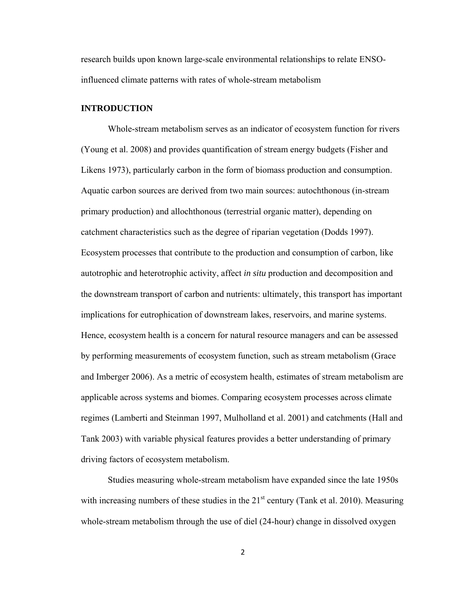research builds upon known large-scale environmental relationships to relate ENSOinfluenced climate patterns with rates of whole-stream metabolism

#### **INTRODUCTION**

Whole-stream metabolism serves as an indicator of ecosystem function for rivers (Young et al. 2008) and provides quantification of stream energy budgets (Fisher and Likens 1973), particularly carbon in the form of biomass production and consumption. Aquatic carbon sources are derived from two main sources: autochthonous (in-stream primary production) and allochthonous (terrestrial organic matter), depending on catchment characteristics such as the degree of riparian vegetation (Dodds 1997). Ecosystem processes that contribute to the production and consumption of carbon, like autotrophic and heterotrophic activity, affect *in situ* production and decomposition and the downstream transport of carbon and nutrients: ultimately, this transport has important implications for eutrophication of downstream lakes, reservoirs, and marine systems. Hence, ecosystem health is a concern for natural resource managers and can be assessed by performing measurements of ecosystem function, such as stream metabolism (Grace and Imberger 2006). As a metric of ecosystem health, estimates of stream metabolism are applicable across systems and biomes. Comparing ecosystem processes across climate regimes (Lamberti and Steinman 1997, Mulholland et al. 2001) and catchments (Hall and Tank 2003) with variable physical features provides a better understanding of primary driving factors of ecosystem metabolism.

Studies measuring whole-stream metabolism have expanded since the late 1950s with increasing numbers of these studies in the  $21<sup>st</sup>$  century (Tank et al. 2010). Measuring whole-stream metabolism through the use of diel (24-hour) change in dissolved oxygen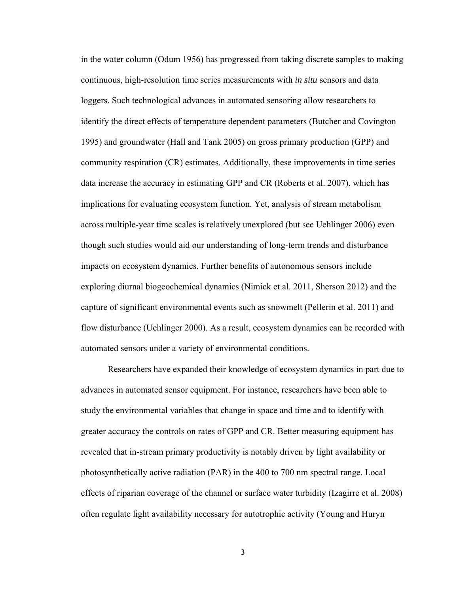in the water column (Odum 1956) has progressed from taking discrete samples to making continuous, high-resolution time series measurements with *in situ* sensors and data loggers. Such technological advances in automated sensoring allow researchers to identify the direct effects of temperature dependent parameters (Butcher and Covington 1995) and groundwater (Hall and Tank 2005) on gross primary production (GPP) and community respiration (CR) estimates. Additionally, these improvements in time series data increase the accuracy in estimating GPP and CR (Roberts et al. 2007), which has implications for evaluating ecosystem function. Yet, analysis of stream metabolism across multiple-year time scales is relatively unexplored (but see Uehlinger 2006) even though such studies would aid our understanding of long-term trends and disturbance impacts on ecosystem dynamics. Further benefits of autonomous sensors include exploring diurnal biogeochemical dynamics (Nimick et al. 2011, Sherson 2012) and the capture of significant environmental events such as snowmelt (Pellerin et al. 2011) and flow disturbance (Uehlinger 2000). As a result, ecosystem dynamics can be recorded with automated sensors under a variety of environmental conditions.

Researchers have expanded their knowledge of ecosystem dynamics in part due to advances in automated sensor equipment. For instance, researchers have been able to study the environmental variables that change in space and time and to identify with greater accuracy the controls on rates of GPP and CR. Better measuring equipment has revealed that in-stream primary productivity is notably driven by light availability or photosynthetically active radiation (PAR) in the 400 to 700 nm spectral range. Local effects of riparian coverage of the channel or surface water turbidity (Izagirre et al. 2008) often regulate light availability necessary for autotrophic activity (Young and Huryn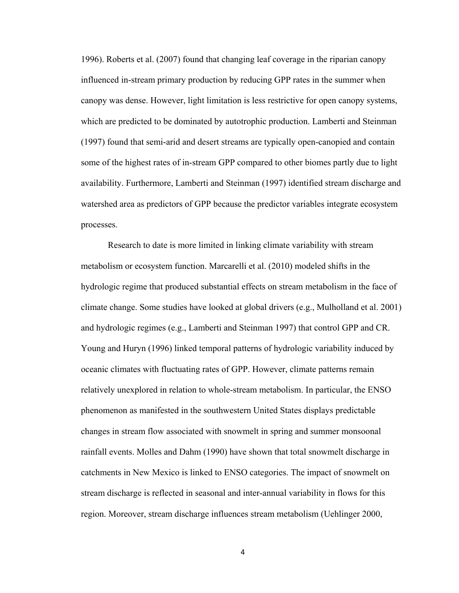1996). Roberts et al. (2007) found that changing leaf coverage in the riparian canopy influenced in-stream primary production by reducing GPP rates in the summer when canopy was dense. However, light limitation is less restrictive for open canopy systems, which are predicted to be dominated by autotrophic production. Lamberti and Steinman (1997) found that semi-arid and desert streams are typically open-canopied and contain some of the highest rates of in-stream GPP compared to other biomes partly due to light availability. Furthermore, Lamberti and Steinman (1997) identified stream discharge and watershed area as predictors of GPP because the predictor variables integrate ecosystem processes.

Research to date is more limited in linking climate variability with stream metabolism or ecosystem function. Marcarelli et al. (2010) modeled shifts in the hydrologic regime that produced substantial effects on stream metabolism in the face of climate change. Some studies have looked at global drivers (e.g., Mulholland et al. 2001) and hydrologic regimes (e.g., Lamberti and Steinman 1997) that control GPP and CR. Young and Huryn (1996) linked temporal patterns of hydrologic variability induced by oceanic climates with fluctuating rates of GPP. However, climate patterns remain relatively unexplored in relation to whole-stream metabolism. In particular, the ENSO phenomenon as manifested in the southwestern United States displays predictable changes in stream flow associated with snowmelt in spring and summer monsoonal rainfall events. Molles and Dahm (1990) have shown that total snowmelt discharge in catchments in New Mexico is linked to ENSO categories. The impact of snowmelt on stream discharge is reflected in seasonal and inter-annual variability in flows for this region. Moreover, stream discharge influences stream metabolism (Uehlinger 2000,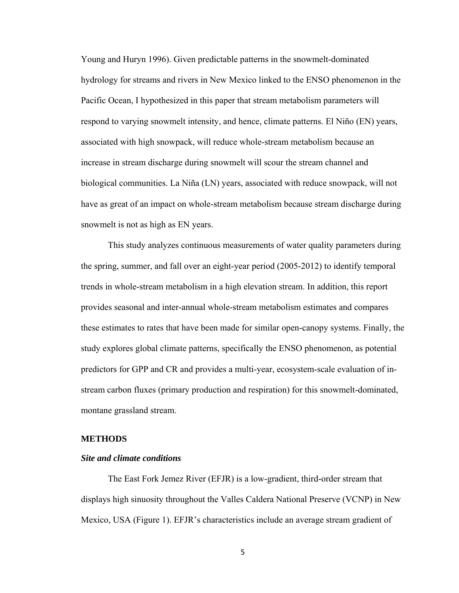Young and Huryn 1996). Given predictable patterns in the snowmelt-dominated hydrology for streams and rivers in New Mexico linked to the ENSO phenomenon in the Pacific Ocean, I hypothesized in this paper that stream metabolism parameters will respond to varying snowmelt intensity, and hence, climate patterns. El Niño (EN) years, associated with high snowpack, will reduce whole-stream metabolism because an increase in stream discharge during snowmelt will scour the stream channel and biological communities. La Niña (LN) years, associated with reduce snowpack, will not have as great of an impact on whole-stream metabolism because stream discharge during snowmelt is not as high as EN years.

 This study analyzes continuous measurements of water quality parameters during the spring, summer, and fall over an eight-year period (2005-2012) to identify temporal trends in whole-stream metabolism in a high elevation stream. In addition, this report provides seasonal and inter-annual whole-stream metabolism estimates and compares these estimates to rates that have been made for similar open-canopy systems. Finally, the study explores global climate patterns, specifically the ENSO phenomenon, as potential predictors for GPP and CR and provides a multi-year, ecosystem-scale evaluation of instream carbon fluxes (primary production and respiration) for this snowmelt-dominated, montane grassland stream.

#### **METHODS**

#### *Site and climate conditions*

The East Fork Jemez River (EFJR) is a low-gradient, third-order stream that displays high sinuosity throughout the Valles Caldera National Preserve (VCNP) in New Mexico, USA (Figure 1). EFJR's characteristics include an average stream gradient of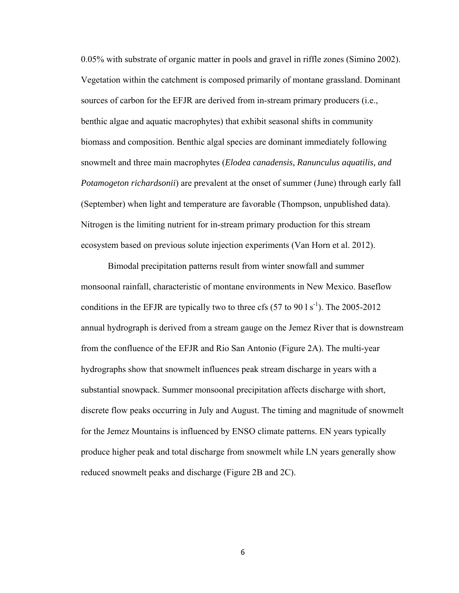0.05% with substrate of organic matter in pools and gravel in riffle zones (Simino 2002). Vegetation within the catchment is composed primarily of montane grassland. Dominant sources of carbon for the EFJR are derived from in-stream primary producers (i.e., benthic algae and aquatic macrophytes) that exhibit seasonal shifts in community biomass and composition. Benthic algal species are dominant immediately following snowmelt and three main macrophytes (*Elodea canadensis, Ranunculus aquatilis, and Potamogeton richardsonii*) are prevalent at the onset of summer (June) through early fall (September) when light and temperature are favorable (Thompson, unpublished data). Nitrogen is the limiting nutrient for in-stream primary production for this stream ecosystem based on previous solute injection experiments (Van Horn et al. 2012).

Bimodal precipitation patterns result from winter snowfall and summer monsoonal rainfall, characteristic of montane environments in New Mexico. Baseflow conditions in the EFJR are typically two to three cfs  $(57 \text{ to } 90 \text{ 1 s}^{-1})$ . The 2005-2012 annual hydrograph is derived from a stream gauge on the Jemez River that is downstream from the confluence of the EFJR and Rio San Antonio (Figure 2A). The multi-year hydrographs show that snowmelt influences peak stream discharge in years with a substantial snowpack. Summer monsoonal precipitation affects discharge with short, discrete flow peaks occurring in July and August. The timing and magnitude of snowmelt for the Jemez Mountains is influenced by ENSO climate patterns. EN years typically produce higher peak and total discharge from snowmelt while LN years generally show reduced snowmelt peaks and discharge (Figure 2B and 2C).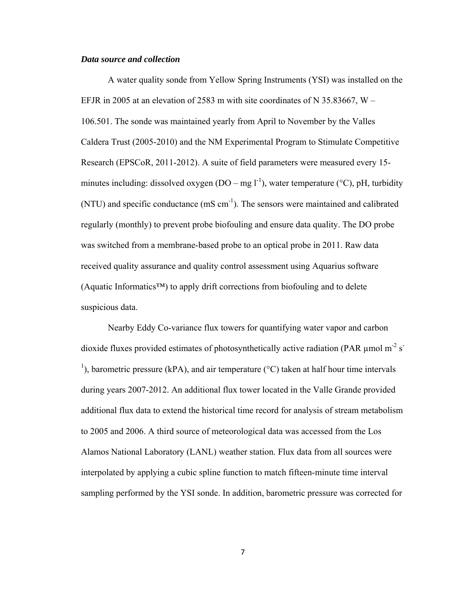#### *Data source and collection*

 A water quality sonde from Yellow Spring Instruments (YSI) was installed on the EFJR in 2005 at an elevation of 2583 m with site coordinates of N 35.83667, W – 106.501. The sonde was maintained yearly from April to November by the Valles Caldera Trust (2005-2010) and the NM Experimental Program to Stimulate Competitive Research (EPSCoR, 2011-2012). A suite of field parameters were measured every 15 minutes including: dissolved oxygen (DO – mg  $l^{-1}$ ), water temperature (°C), pH, turbidity  $(NTU)$  and specific conductance  $(mS \, cm^{-1})$ . The sensors were maintained and calibrated regularly (monthly) to prevent probe biofouling and ensure data quality. The DO probe was switched from a membrane-based probe to an optical probe in 2011. Raw data received quality assurance and quality control assessment using Aquarius software (Aquatic Informatics™) to apply drift corrections from biofouling and to delete suspicious data.

Nearby Eddy Co-variance flux towers for quantifying water vapor and carbon dioxide fluxes provided estimates of photosynthetically active radiation (PAR  $\mu$ mol m<sup>-2</sup> s<sup>-</sup> <sup>1</sup>), barometric pressure (kPA), and air temperature ( $\rm{^{\circ}C}$ ) taken at half hour time intervals during years 2007-2012. An additional flux tower located in the Valle Grande provided additional flux data to extend the historical time record for analysis of stream metabolism to 2005 and 2006. A third source of meteorological data was accessed from the Los Alamos National Laboratory (LANL) weather station. Flux data from all sources were interpolated by applying a cubic spline function to match fifteen-minute time interval sampling performed by the YSI sonde. In addition, barometric pressure was corrected for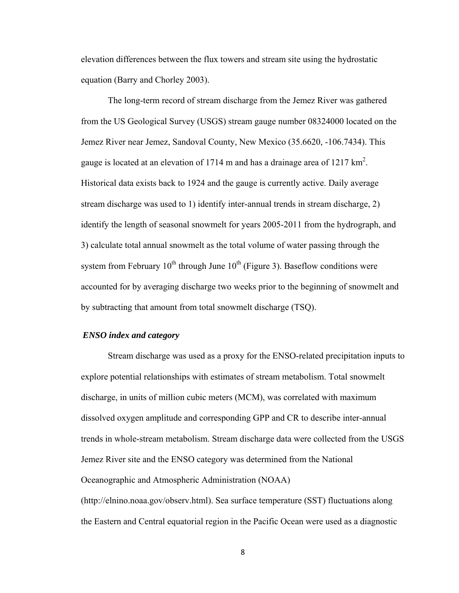elevation differences between the flux towers and stream site using the hydrostatic equation (Barry and Chorley 2003).

 The long-term record of stream discharge from the Jemez River was gathered from the US Geological Survey (USGS) stream gauge number 08324000 located on the Jemez River near Jemez, Sandoval County, New Mexico (35.6620, -106.7434). This gauge is located at an elevation of 1714 m and has a drainage area of 1217  $\text{km}^2$ . Historical data exists back to 1924 and the gauge is currently active. Daily average stream discharge was used to 1) identify inter-annual trends in stream discharge, 2) identify the length of seasonal snowmelt for years 2005-2011 from the hydrograph, and 3) calculate total annual snowmelt as the total volume of water passing through the system from February  $10^{th}$  through June  $10^{th}$  (Figure 3). Baseflow conditions were accounted for by averaging discharge two weeks prior to the beginning of snowmelt and by subtracting that amount from total snowmelt discharge (TSQ).

#### *ENSO index and category*

 Stream discharge was used as a proxy for the ENSO-related precipitation inputs to explore potential relationships with estimates of stream metabolism. Total snowmelt discharge, in units of million cubic meters (MCM), was correlated with maximum dissolved oxygen amplitude and corresponding GPP and CR to describe inter-annual trends in whole-stream metabolism. Stream discharge data were collected from the USGS Jemez River site and the ENSO category was determined from the National Oceanographic and Atmospheric Administration (NOAA) (http://elnino.noaa.gov/observ.html). Sea surface temperature (SST) fluctuations along the Eastern and Central equatorial region in the Pacific Ocean were used as a diagnostic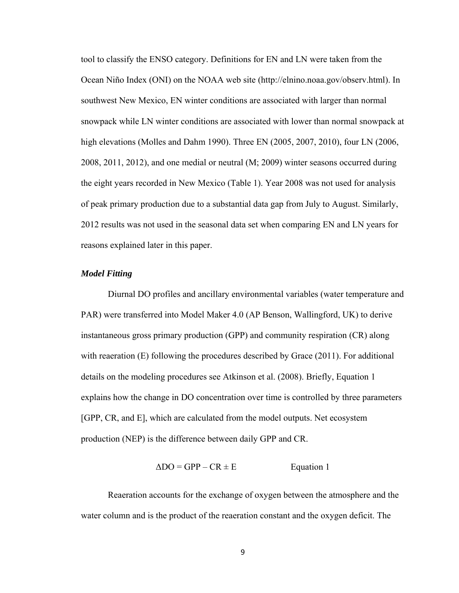tool to classify the ENSO category. Definitions for EN and LN were taken from the Ocean Niño Index (ONI) on the NOAA web site (http://elnino.noaa.gov/observ.html). In southwest New Mexico, EN winter conditions are associated with larger than normal snowpack while LN winter conditions are associated with lower than normal snowpack at high elevations (Molles and Dahm 1990). Three EN (2005, 2007, 2010), four LN (2006, 2008, 2011, 2012), and one medial or neutral (M; 2009) winter seasons occurred during the eight years recorded in New Mexico (Table 1). Year 2008 was not used for analysis of peak primary production due to a substantial data gap from July to August. Similarly, 2012 results was not used in the seasonal data set when comparing EN and LN years for reasons explained later in this paper.

### *Model Fitting*

 Diurnal DO profiles and ancillary environmental variables (water temperature and PAR) were transferred into Model Maker 4.0 (AP Benson, Wallingford, UK) to derive instantaneous gross primary production (GPP) and community respiration (CR) along with reaeration (E) following the procedures described by Grace (2011). For additional details on the modeling procedures see Atkinson et al. (2008). Briefly, Equation 1 explains how the change in DO concentration over time is controlled by three parameters [GPP, CR, and E], which are calculated from the model outputs. Net ecosystem production (NEP) is the difference between daily GPP and CR.

 $\Delta DO = GPP - CR \pm E$  Equation 1

 Reaeration accounts for the exchange of oxygen between the atmosphere and the water column and is the product of the reaeration constant and the oxygen deficit. The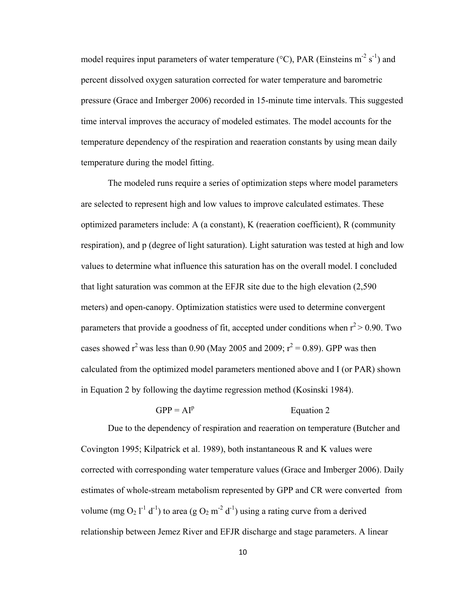model requires input parameters of water temperature ( $\rm ^{o}C$ ), PAR (Einsteins m<sup>-2</sup> s<sup>-1</sup>) and percent dissolved oxygen saturation corrected for water temperature and barometric pressure (Grace and Imberger 2006) recorded in 15-minute time intervals. This suggested time interval improves the accuracy of modeled estimates. The model accounts for the temperature dependency of the respiration and reaeration constants by using mean daily temperature during the model fitting.

 The modeled runs require a series of optimization steps where model parameters are selected to represent high and low values to improve calculated estimates. These optimized parameters include: A (a constant), K (reaeration coefficient), R (community respiration), and p (degree of light saturation). Light saturation was tested at high and low values to determine what influence this saturation has on the overall model. I concluded that light saturation was common at the EFJR site due to the high elevation (2,590 meters) and open-canopy. Optimization statistics were used to determine convergent parameters that provide a goodness of fit, accepted under conditions when  $r^2 > 0.90$ . Two cases showed  $r^2$  was less than 0.90 (May 2005 and 2009;  $r^2 = 0.89$ ). GPP was then calculated from the optimized model parameters mentioned above and I (or PAR) shown in Equation 2 by following the daytime regression method (Kosinski 1984).

#### $GPP = AI<sup>p</sup>$ Equation 2

 Due to the dependency of respiration and reaeration on temperature (Butcher and Covington 1995; Kilpatrick et al. 1989), both instantaneous R and K values were corrected with corresponding water temperature values (Grace and Imberger 2006). Daily estimates of whole-stream metabolism represented by GPP and CR were converted from volume (mg  $O_2 l^{-1} d^{-1}$ ) to area (g  $O_2 m^{-2} d^{-1}$ ) using a rating curve from a derived relationship between Jemez River and EFJR discharge and stage parameters. A linear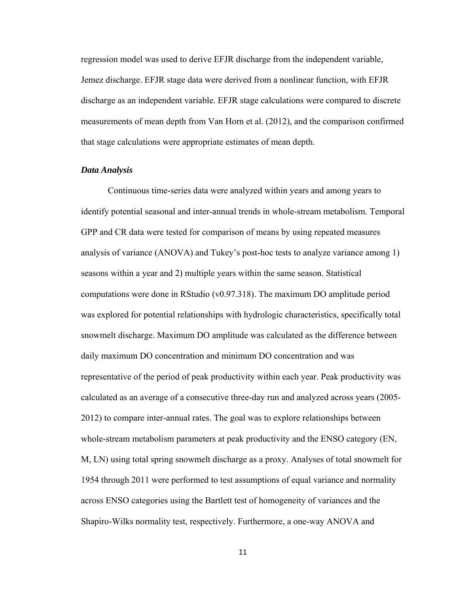regression model was used to derive EFJR discharge from the independent variable, Jemez discharge. EFJR stage data were derived from a nonlinear function, with EFJR discharge as an independent variable. EFJR stage calculations were compared to discrete measurements of mean depth from Van Horn et al. (2012), and the comparison confirmed that stage calculations were appropriate estimates of mean depth.

#### *Data Analysis*

 Continuous time-series data were analyzed within years and among years to identify potential seasonal and inter-annual trends in whole-stream metabolism. Temporal GPP and CR data were tested for comparison of means by using repeated measures analysis of variance (ANOVA) and Tukey's post-hoc tests to analyze variance among 1) seasons within a year and 2) multiple years within the same season. Statistical computations were done in RStudio (v0.97.318). The maximum DO amplitude period was explored for potential relationships with hydrologic characteristics, specifically total snowmelt discharge. Maximum DO amplitude was calculated as the difference between daily maximum DO concentration and minimum DO concentration and was representative of the period of peak productivity within each year. Peak productivity was calculated as an average of a consecutive three-day run and analyzed across years (2005- 2012) to compare inter-annual rates. The goal was to explore relationships between whole-stream metabolism parameters at peak productivity and the ENSO category (EN, M, LN) using total spring snowmelt discharge as a proxy. Analyses of total snowmelt for 1954 through 2011 were performed to test assumptions of equal variance and normality across ENSO categories using the Bartlett test of homogeneity of variances and the Shapiro-Wilks normality test, respectively. Furthermore, a one-way ANOVA and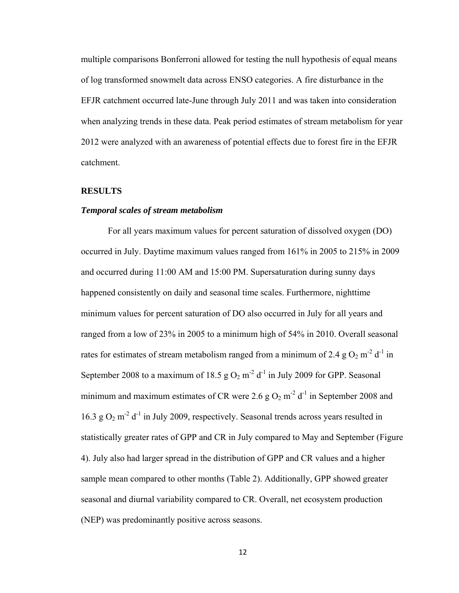multiple comparisons Bonferroni allowed for testing the null hypothesis of equal means of log transformed snowmelt data across ENSO categories. A fire disturbance in the EFJR catchment occurred late-June through July 2011 and was taken into consideration when analyzing trends in these data. Peak period estimates of stream metabolism for year 2012 were analyzed with an awareness of potential effects due to forest fire in the EFJR catchment.

#### **RESULTS**

### *Temporal scales of stream metabolism*

 For all years maximum values for percent saturation of dissolved oxygen (DO) occurred in July. Daytime maximum values ranged from 161% in 2005 to 215% in 2009 and occurred during 11:00 AM and 15:00 PM. Supersaturation during sunny days happened consistently on daily and seasonal time scales. Furthermore, nighttime minimum values for percent saturation of DO also occurred in July for all years and ranged from a low of 23% in 2005 to a minimum high of 54% in 2010. Overall seasonal rates for estimates of stream metabolism ranged from a minimum of 2.4 g  $O_2$  m<sup>-2</sup> d<sup>-1</sup> in September 2008 to a maximum of 18.5  $g O_2 m^2 d^{-1}$  in July 2009 for GPP. Seasonal minimum and maximum estimates of CR were 2.6 g  $O_2$  m<sup>-2</sup> d<sup>-1</sup> in September 2008 and 16.3 g  $O_2$  m<sup>-2</sup> d<sup>-1</sup> in July 2009, respectively. Seasonal trends across years resulted in statistically greater rates of GPP and CR in July compared to May and September (Figure 4). July also had larger spread in the distribution of GPP and CR values and a higher sample mean compared to other months (Table 2). Additionally, GPP showed greater seasonal and diurnal variability compared to CR. Overall, net ecosystem production (NEP) was predominantly positive across seasons.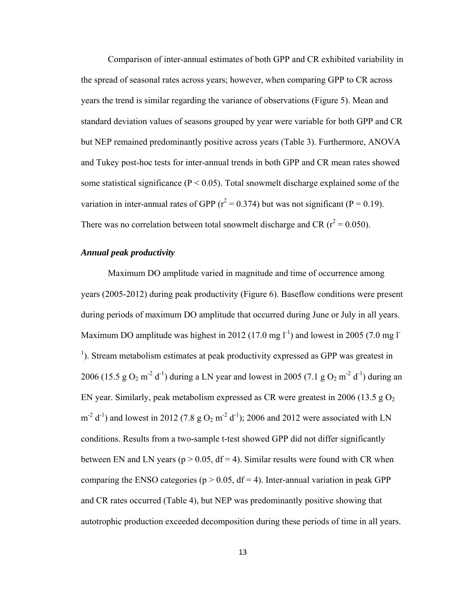Comparison of inter-annual estimates of both GPP and CR exhibited variability in the spread of seasonal rates across years; however, when comparing GPP to CR across years the trend is similar regarding the variance of observations (Figure 5). Mean and standard deviation values of seasons grouped by year were variable for both GPP and CR but NEP remained predominantly positive across years (Table 3). Furthermore, ANOVA and Tukey post-hoc tests for inter-annual trends in both GPP and CR mean rates showed some statistical significance ( $P < 0.05$ ). Total snowmelt discharge explained some of the variation in inter-annual rates of GPP ( $r^2 = 0.374$ ) but was not significant (P = 0.19). There was no correlation between total snowmelt discharge and CR ( $r^2$  = 0.050).

#### *Annual peak productivity*

Maximum DO amplitude varied in magnitude and time of occurrence among years (2005-2012) during peak productivity (Figure 6). Baseflow conditions were present during periods of maximum DO amplitude that occurred during June or July in all years. Maximum DO amplitude was highest in 2012 (17.0 mg  $1^{-1}$ ) and lowest in 2005 (7.0 mg I <sup>1</sup>). Stream metabolism estimates at peak productivity expressed as GPP was greatest in 2006 (15.5 g  $O_2$  m<sup>-2</sup> d<sup>-1</sup>) during a LN year and lowest in 2005 (7.1 g  $O_2$  m<sup>-2</sup> d<sup>-1</sup>) during an EN year. Similarly, peak metabolism expressed as CR were greatest in 2006 (13.5 g  $O_2$ )  $\text{m}^2$  d<sup>-1</sup>) and lowest in 2012 (7.8 g O<sub>2</sub> m<sup>-2</sup> d<sup>-1</sup>); 2006 and 2012 were associated with LN conditions. Results from a two-sample t-test showed GPP did not differ significantly between EN and LN years ( $p > 0.05$ , df = 4). Similar results were found with CR when comparing the ENSO categories ( $p > 0.05$ , df = 4). Inter-annual variation in peak GPP and CR rates occurred (Table 4), but NEP was predominantly positive showing that autotrophic production exceeded decomposition during these periods of time in all years.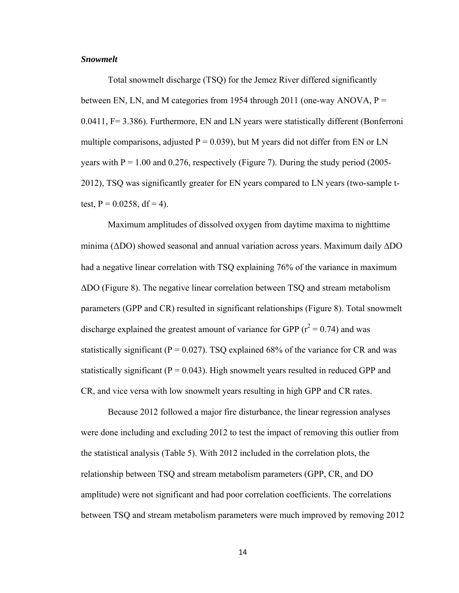#### *Snowmelt*

 Total snowmelt discharge (TSQ) for the Jemez River differed significantly between EN, LN, and M categories from 1954 through 2011 (one-way ANOVA,  $P =$ 0.0411, F= 3.386). Furthermore, EN and LN years were statistically different (Bonferroni multiple comparisons, adjusted  $P = 0.039$ ), but M years did not differ from EN or LN years with  $P = 1.00$  and 0.276, respectively (Figure 7). During the study period (2005-2012), TSQ was significantly greater for EN years compared to LN years (two-sample ttest,  $P = 0.0258$ , df = 4).

 Maximum amplitudes of dissolved oxygen from daytime maxima to nighttime minima ( $\Delta$ DO) showed seasonal and annual variation across years. Maximum daily  $\Delta$ DO had a negative linear correlation with TSQ explaining 76% of the variance in maximum ΔDO (Figure 8). The negative linear correlation between TSQ and stream metabolism parameters (GPP and CR) resulted in significant relationships (Figure 8). Total snowmelt discharge explained the greatest amount of variance for GPP  $(r^2 = 0.74)$  and was statistically significant ( $P = 0.027$ ). TSQ explained 68% of the variance for CR and was statistically significant ( $P = 0.043$ ). High snowmelt years resulted in reduced GPP and CR, and vice versa with low snowmelt years resulting in high GPP and CR rates.

 Because 2012 followed a major fire disturbance, the linear regression analyses were done including and excluding 2012 to test the impact of removing this outlier from the statistical analysis (Table 5). With 2012 included in the correlation plots, the relationship between TSQ and stream metabolism parameters (GPP, CR, and DO amplitude) were not significant and had poor correlation coefficients. The correlations between TSQ and stream metabolism parameters were much improved by removing 2012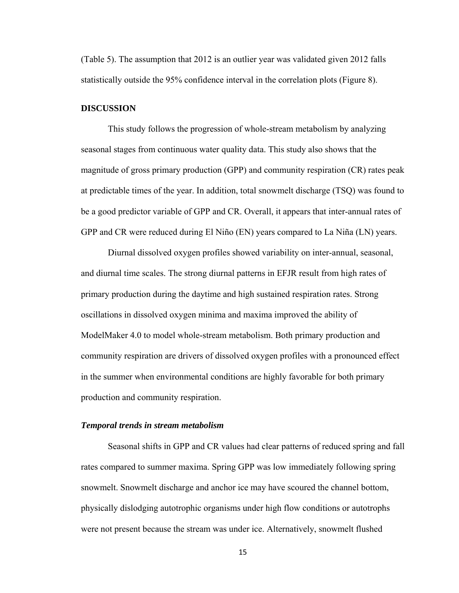(Table 5). The assumption that 2012 is an outlier year was validated given 2012 falls statistically outside the 95% confidence interval in the correlation plots (Figure 8).

#### **DISCUSSION**

This study follows the progression of whole-stream metabolism by analyzing seasonal stages from continuous water quality data. This study also shows that the magnitude of gross primary production (GPP) and community respiration (CR) rates peak at predictable times of the year. In addition, total snowmelt discharge (TSQ) was found to be a good predictor variable of GPP and CR. Overall, it appears that inter-annual rates of GPP and CR were reduced during El Niño (EN) years compared to La Niña (LN) years.

Diurnal dissolved oxygen profiles showed variability on inter-annual, seasonal, and diurnal time scales. The strong diurnal patterns in EFJR result from high rates of primary production during the daytime and high sustained respiration rates. Strong oscillations in dissolved oxygen minima and maxima improved the ability of ModelMaker 4.0 to model whole-stream metabolism. Both primary production and community respiration are drivers of dissolved oxygen profiles with a pronounced effect in the summer when environmental conditions are highly favorable for both primary production and community respiration.

#### *Temporal trends in stream metabolism*

 Seasonal shifts in GPP and CR values had clear patterns of reduced spring and fall rates compared to summer maxima. Spring GPP was low immediately following spring snowmelt. Snowmelt discharge and anchor ice may have scoured the channel bottom, physically dislodging autotrophic organisms under high flow conditions or autotrophs were not present because the stream was under ice. Alternatively, snowmelt flushed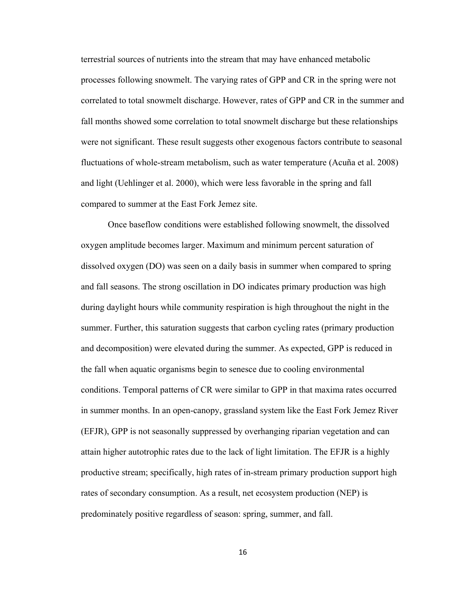terrestrial sources of nutrients into the stream that may have enhanced metabolic processes following snowmelt. The varying rates of GPP and CR in the spring were not correlated to total snowmelt discharge. However, rates of GPP and CR in the summer and fall months showed some correlation to total snowmelt discharge but these relationships were not significant. These result suggests other exogenous factors contribute to seasonal fluctuations of whole-stream metabolism, such as water temperature (Acuña et al. 2008) and light (Uehlinger et al. 2000), which were less favorable in the spring and fall compared to summer at the East Fork Jemez site.

 Once baseflow conditions were established following snowmelt, the dissolved oxygen amplitude becomes larger. Maximum and minimum percent saturation of dissolved oxygen (DO) was seen on a daily basis in summer when compared to spring and fall seasons. The strong oscillation in DO indicates primary production was high during daylight hours while community respiration is high throughout the night in the summer. Further, this saturation suggests that carbon cycling rates (primary production and decomposition) were elevated during the summer. As expected, GPP is reduced in the fall when aquatic organisms begin to senesce due to cooling environmental conditions. Temporal patterns of CR were similar to GPP in that maxima rates occurred in summer months. In an open-canopy, grassland system like the East Fork Jemez River (EFJR), GPP is not seasonally suppressed by overhanging riparian vegetation and can attain higher autotrophic rates due to the lack of light limitation. The EFJR is a highly productive stream; specifically, high rates of in-stream primary production support high rates of secondary consumption. As a result, net ecosystem production (NEP) is predominately positive regardless of season: spring, summer, and fall.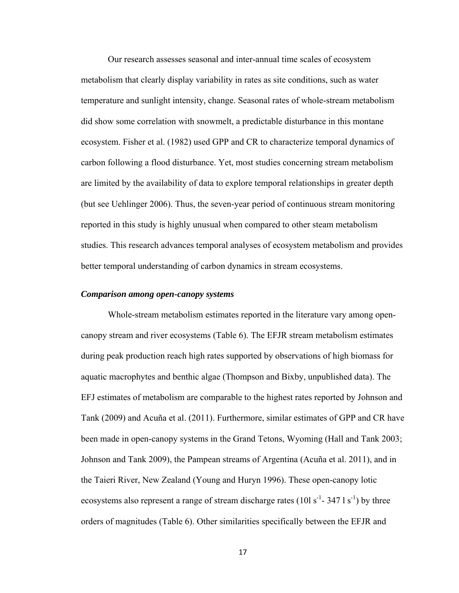Our research assesses seasonal and inter-annual time scales of ecosystem metabolism that clearly display variability in rates as site conditions, such as water temperature and sunlight intensity, change. Seasonal rates of whole-stream metabolism did show some correlation with snowmelt, a predictable disturbance in this montane ecosystem. Fisher et al. (1982) used GPP and CR to characterize temporal dynamics of carbon following a flood disturbance. Yet, most studies concerning stream metabolism are limited by the availability of data to explore temporal relationships in greater depth (but see Uehlinger 2006). Thus, the seven-year period of continuous stream monitoring reported in this study is highly unusual when compared to other steam metabolism studies. This research advances temporal analyses of ecosystem metabolism and provides better temporal understanding of carbon dynamics in stream ecosystems.

#### *Comparison among open-canopy systems*

 Whole-stream metabolism estimates reported in the literature vary among opencanopy stream and river ecosystems (Table 6). The EFJR stream metabolism estimates during peak production reach high rates supported by observations of high biomass for aquatic macrophytes and benthic algae (Thompson and Bixby, unpublished data). The EFJ estimates of metabolism are comparable to the highest rates reported by Johnson and Tank (2009) and Acuña et al. (2011). Furthermore, similar estimates of GPP and CR have been made in open-canopy systems in the Grand Tetons, Wyoming (Hall and Tank 2003; Johnson and Tank 2009), the Pampean streams of Argentina (Acuña et al. 2011), and in the Taieri River, New Zealand (Young and Huryn 1996). These open-canopy lotic ecosystems also represent a range of stream discharge rates (10l s<sup>-1</sup>-347 l s<sup>-1</sup>) by three orders of magnitudes (Table 6). Other similarities specifically between the EFJR and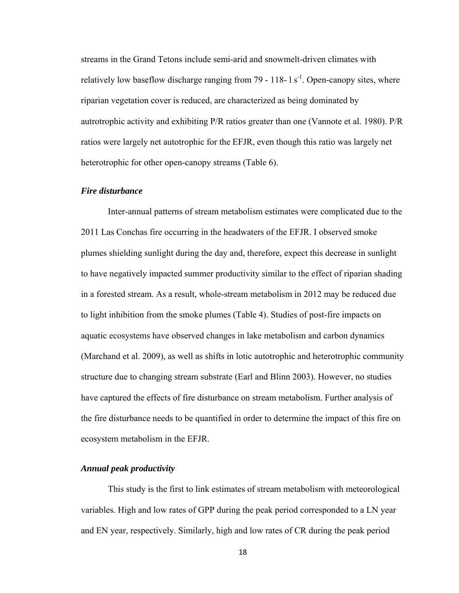streams in the Grand Tetons include semi-arid and snowmelt-driven climates with relatively low baseflow discharge ranging from 79 - 118-1  $s<sup>-1</sup>$ . Open-canopy sites, where riparian vegetation cover is reduced, are characterized as being dominated by autrotrophic activity and exhibiting P/R ratios greater than one (Vannote et al. 1980). P/R ratios were largely net autotrophic for the EFJR, even though this ratio was largely net heterotrophic for other open-canopy streams (Table 6).

#### *Fire disturbance*

 Inter-annual patterns of stream metabolism estimates were complicated due to the 2011 Las Conchas fire occurring in the headwaters of the EFJR. I observed smoke plumes shielding sunlight during the day and, therefore, expect this decrease in sunlight to have negatively impacted summer productivity similar to the effect of riparian shading in a forested stream. As a result, whole-stream metabolism in 2012 may be reduced due to light inhibition from the smoke plumes (Table 4). Studies of post-fire impacts on aquatic ecosystems have observed changes in lake metabolism and carbon dynamics (Marchand et al. 2009), as well as shifts in lotic autotrophic and heterotrophic community structure due to changing stream substrate (Earl and Blinn 2003). However, no studies have captured the effects of fire disturbance on stream metabolism. Further analysis of the fire disturbance needs to be quantified in order to determine the impact of this fire on ecosystem metabolism in the EFJR.

#### *Annual peak productivity*

This study is the first to link estimates of stream metabolism with meteorological variables. High and low rates of GPP during the peak period corresponded to a LN year and EN year, respectively. Similarly, high and low rates of CR during the peak period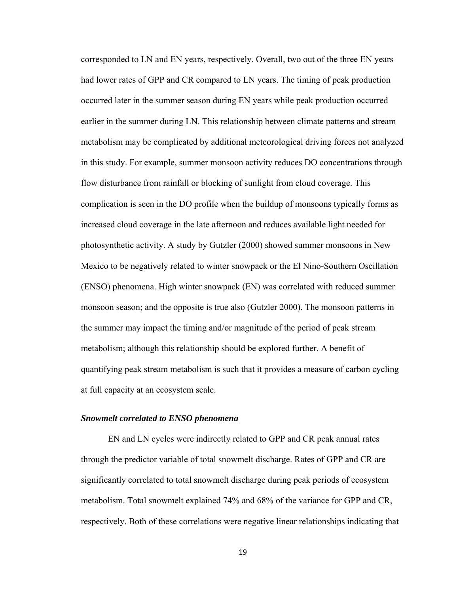corresponded to LN and EN years, respectively. Overall, two out of the three EN years had lower rates of GPP and CR compared to LN years. The timing of peak production occurred later in the summer season during EN years while peak production occurred earlier in the summer during LN. This relationship between climate patterns and stream metabolism may be complicated by additional meteorological driving forces not analyzed in this study. For example, summer monsoon activity reduces DO concentrations through flow disturbance from rainfall or blocking of sunlight from cloud coverage. This complication is seen in the DO profile when the buildup of monsoons typically forms as increased cloud coverage in the late afternoon and reduces available light needed for photosynthetic activity. A study by Gutzler (2000) showed summer monsoons in New Mexico to be negatively related to winter snowpack or the El Nino-Southern Oscillation (ENSO) phenomena. High winter snowpack (EN) was correlated with reduced summer monsoon season; and the opposite is true also (Gutzler 2000). The monsoon patterns in the summer may impact the timing and/or magnitude of the period of peak stream metabolism; although this relationship should be explored further. A benefit of quantifying peak stream metabolism is such that it provides a measure of carbon cycling at full capacity at an ecosystem scale.

#### *Snowmelt correlated to ENSO phenomena*

 EN and LN cycles were indirectly related to GPP and CR peak annual rates through the predictor variable of total snowmelt discharge. Rates of GPP and CR are significantly correlated to total snowmelt discharge during peak periods of ecosystem metabolism. Total snowmelt explained 74% and 68% of the variance for GPP and CR, respectively. Both of these correlations were negative linear relationships indicating that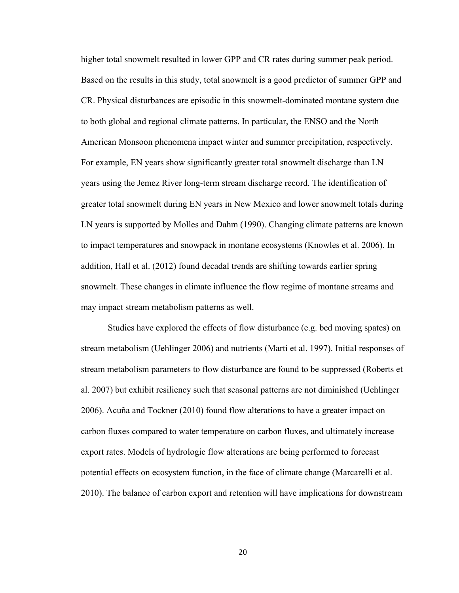higher total snowmelt resulted in lower GPP and CR rates during summer peak period. Based on the results in this study, total snowmelt is a good predictor of summer GPP and CR. Physical disturbances are episodic in this snowmelt-dominated montane system due to both global and regional climate patterns. In particular, the ENSO and the North American Monsoon phenomena impact winter and summer precipitation, respectively. For example, EN years show significantly greater total snowmelt discharge than LN years using the Jemez River long-term stream discharge record. The identification of greater total snowmelt during EN years in New Mexico and lower snowmelt totals during LN years is supported by Molles and Dahm (1990). Changing climate patterns are known to impact temperatures and snowpack in montane ecosystems (Knowles et al. 2006). In addition, Hall et al. (2012) found decadal trends are shifting towards earlier spring snowmelt. These changes in climate influence the flow regime of montane streams and may impact stream metabolism patterns as well.

 Studies have explored the effects of flow disturbance (e.g. bed moving spates) on stream metabolism (Uehlinger 2006) and nutrients (Marti et al. 1997). Initial responses of stream metabolism parameters to flow disturbance are found to be suppressed (Roberts et al. 2007) but exhibit resiliency such that seasonal patterns are not diminished (Uehlinger 2006). Acuña and Tockner (2010) found flow alterations to have a greater impact on carbon fluxes compared to water temperature on carbon fluxes, and ultimately increase export rates. Models of hydrologic flow alterations are being performed to forecast potential effects on ecosystem function, in the face of climate change (Marcarelli et al. 2010). The balance of carbon export and retention will have implications for downstream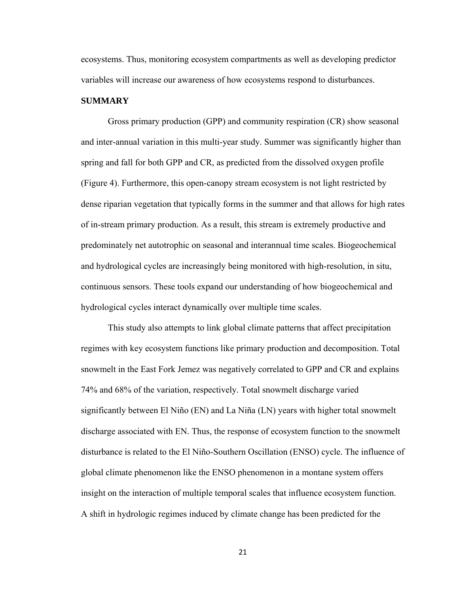ecosystems. Thus, monitoring ecosystem compartments as well as developing predictor variables will increase our awareness of how ecosystems respond to disturbances.

#### **SUMMARY**

 Gross primary production (GPP) and community respiration (CR) show seasonal and inter-annual variation in this multi-year study. Summer was significantly higher than spring and fall for both GPP and CR, as predicted from the dissolved oxygen profile (Figure 4). Furthermore, this open-canopy stream ecosystem is not light restricted by dense riparian vegetation that typically forms in the summer and that allows for high rates of in-stream primary production. As a result, this stream is extremely productive and predominately net autotrophic on seasonal and interannual time scales. Biogeochemical and hydrological cycles are increasingly being monitored with high-resolution, in situ, continuous sensors. These tools expand our understanding of how biogeochemical and hydrological cycles interact dynamically over multiple time scales.

 This study also attempts to link global climate patterns that affect precipitation regimes with key ecosystem functions like primary production and decomposition. Total snowmelt in the East Fork Jemez was negatively correlated to GPP and CR and explains 74% and 68% of the variation, respectively. Total snowmelt discharge varied significantly between El Niño (EN) and La Niña (LN) years with higher total snowmelt discharge associated with EN. Thus, the response of ecosystem function to the snowmelt disturbance is related to the El Niño-Southern Oscillation (ENSO) cycle. The influence of global climate phenomenon like the ENSO phenomenon in a montane system offers insight on the interaction of multiple temporal scales that influence ecosystem function. A shift in hydrologic regimes induced by climate change has been predicted for the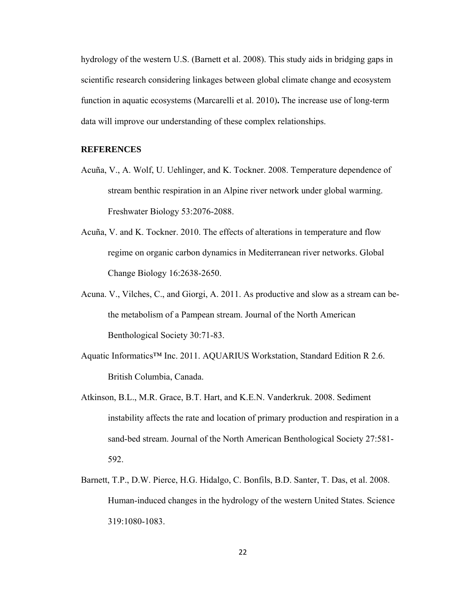hydrology of the western U.S. (Barnett et al. 2008). This study aids in bridging gaps in scientific research considering linkages between global climate change and ecosystem function in aquatic ecosystems (Marcarelli et al. 2010)**.** The increase use of long-term data will improve our understanding of these complex relationships.

#### **REFERENCES**

- Acuña, V., A. Wolf, U. Uehlinger, and K. Tockner. 2008. Temperature dependence of stream benthic respiration in an Alpine river network under global warming. Freshwater Biology 53:2076-2088.
- Acuña, V. and K. Tockner. 2010. The effects of alterations in temperature and flow regime on organic carbon dynamics in Mediterranean river networks. Global Change Biology 16:2638-2650.
- Acuna. V., Vilches, C., and Giorgi, A. 2011. As productive and slow as a stream can bethe metabolism of a Pampean stream. Journal of the North American Benthological Society 30:71-83.
- Aquatic Informatics™ Inc. 2011. AQUARIUS Workstation, Standard Edition R 2.6. British Columbia, Canada.
- Atkinson, B.L., M.R. Grace, B.T. Hart, and K.E.N. Vanderkruk. 2008. Sediment instability affects the rate and location of primary production and respiration in a sand-bed stream. Journal of the North American Benthological Society 27:581- 592.
- Barnett, T.P., D.W. Pierce, H.G. Hidalgo, C. Bonfils, B.D. Santer, T. Das, et al. 2008. Human-induced changes in the hydrology of the western United States. Science 319:1080-1083.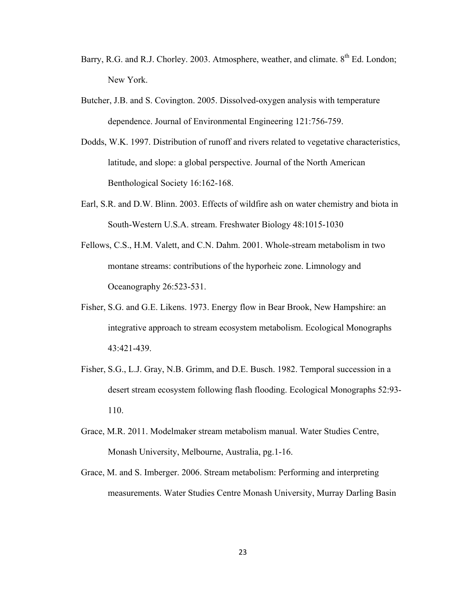- Barry, R.G. and R.J. Chorley. 2003. Atmosphere, weather, and climate. 8<sup>th</sup> Ed. London; New York.
- Butcher, J.B. and S. Covington. 2005. Dissolved-oxygen analysis with temperature dependence. Journal of Environmental Engineering 121:756-759.
- Dodds, W.K. 1997. Distribution of runoff and rivers related to vegetative characteristics, latitude, and slope: a global perspective. Journal of the North American Benthological Society 16:162-168.
- Earl, S.R. and D.W. Blinn. 2003. Effects of wildfire ash on water chemistry and biota in South-Western U.S.A. stream. Freshwater Biology 48:1015-1030
- Fellows, C.S., H.M. Valett, and C.N. Dahm. 2001. Whole-stream metabolism in two montane streams: contributions of the hyporheic zone. Limnology and Oceanography 26:523-531.
- Fisher, S.G. and G.E. Likens. 1973. Energy flow in Bear Brook, New Hampshire: an integrative approach to stream ecosystem metabolism. Ecological Monographs 43:421-439.
- Fisher, S.G., L.J. Gray, N.B. Grimm, and D.E. Busch. 1982. Temporal succession in a desert stream ecosystem following flash flooding. Ecological Monographs 52:93- 110.
- Grace, M.R. 2011. Modelmaker stream metabolism manual. Water Studies Centre, Monash University, Melbourne, Australia, pg.1-16.
- Grace, M. and S. Imberger. 2006. Stream metabolism: Performing and interpreting measurements. Water Studies Centre Monash University, Murray Darling Basin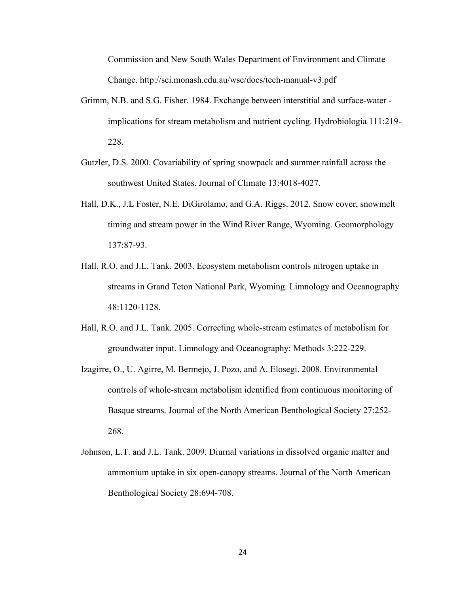Commission and New South Wales Department of Environment and Climate Change. http://sci.monash.edu.au/wsc/docs/tech-manual-v3.pdf

- Grimm, N.B. and S.G. Fisher. 1984. Exchange between interstitial and surface-water implications for stream metabolism and nutrient cycling. Hydrobiologia 111:219- 228.
- Gutzler, D.S. 2000. Covariability of spring snowpack and summer rainfall across the southwest United States. Journal of Climate 13:4018-4027.
- Hall, D.K., J.L Foster, N.E. DiGirolamo, and G.A. Riggs. 2012. Snow cover, snowmelt timing and stream power in the Wind River Range, Wyoming. Geomorphology 137:87-93.
- Hall, R.O. and J.L. Tank. 2003. Ecosystem metabolism controls nitrogen uptake in streams in Grand Teton National Park, Wyoming. Limnology and Oceanography 48:1120-1128.
- Hall, R.O. and J.L. Tank. 2005. Correcting whole-stream estimates of metabolism for groundwater input. Limnology and Oceanography: Methods 3:222-229.
- Izagirre, O., U. Agirre, M. Bermejo, J. Pozo, and A. Elosegi. 2008. Environmental controls of whole-stream metabolism identified from continuous monitoring of Basque streams. Journal of the North American Benthological Society 27:252- 268.
- Johnson, L.T. and J.L. Tank. 2009. Diurnal variations in dissolved organic matter and ammonium uptake in six open-canopy streams. Journal of the North American Benthological Society 28:694-708.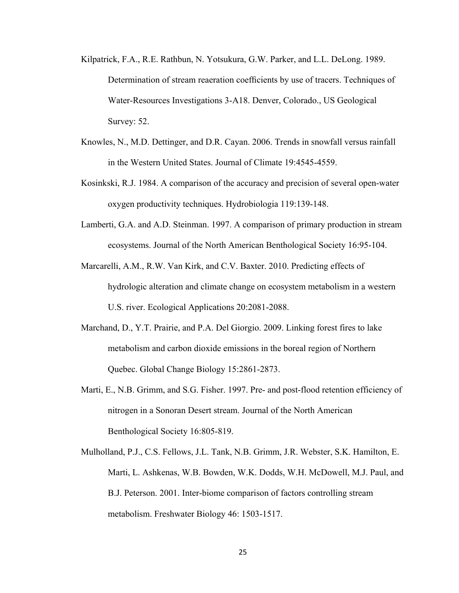- Kilpatrick, F.A., R.E. Rathbun, N. Yotsukura, G.W. Parker, and L.L. DeLong. 1989. Determination of stream reaeration coefficients by use of tracers. Techniques of Water-Resources Investigations 3-A18. Denver, Colorado., US Geological Survey: 52.
- Knowles, N., M.D. Dettinger, and D.R. Cayan. 2006. Trends in snowfall versus rainfall in the Western United States. Journal of Climate 19:4545-4559.
- Kosinkski, R.J. 1984. A comparison of the accuracy and precision of several open-water oxygen productivity techniques. Hydrobiologia 119:139-148.
- Lamberti, G.A. and A.D. Steinman. 1997. A comparison of primary production in stream ecosystems. Journal of the North American Benthological Society 16:95-104.
- Marcarelli, A.M., R.W. Van Kirk, and C.V. Baxter. 2010. Predicting effects of hydrologic alteration and climate change on ecosystem metabolism in a western U.S. river. Ecological Applications 20:2081-2088.
- Marchand, D., Y.T. Prairie, and P.A. Del Giorgio. 2009. Linking forest fires to lake metabolism and carbon dioxide emissions in the boreal region of Northern Quebec. Global Change Biology 15:2861-2873.
- Marti, E., N.B. Grimm, and S.G. Fisher. 1997. Pre- and post-flood retention efficiency of nitrogen in a Sonoran Desert stream. Journal of the North American Benthological Society 16:805-819.
- Mulholland, P.J., C.S. Fellows, J.L. Tank, N.B. Grimm, J.R. Webster, S.K. Hamilton, E. Marti, L. Ashkenas, W.B. Bowden, W.K. Dodds, W.H. McDowell, M.J. Paul, and B.J. Peterson. 2001. Inter-biome comparison of factors controlling stream metabolism. Freshwater Biology 46: 1503-1517.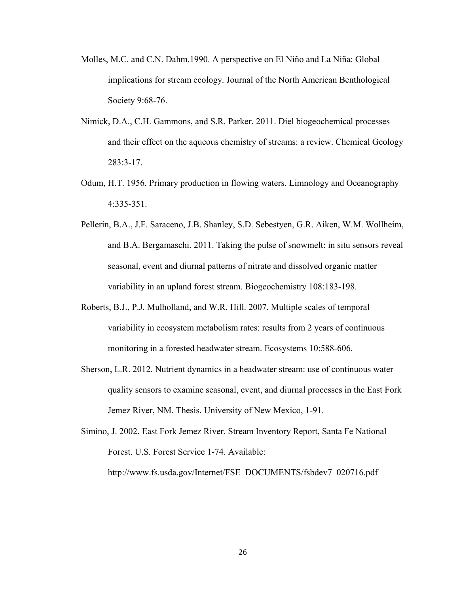- Molles, M.C. and C.N. Dahm.1990. A perspective on El Niño and La Niña: Global implications for stream ecology*.* Journal of the North American Benthological Society 9:68-76.
- Nimick, D.A., C.H. Gammons, and S.R. Parker. 2011. Diel biogeochemical processes and their effect on the aqueous chemistry of streams: a review. Chemical Geology 283:3-17.
- Odum, H.T. 1956. Primary production in flowing waters. Limnology and Oceanography 4:335-351.
- Pellerin, B.A., J.F. Saraceno, J.B. Shanley, S.D. Sebestyen, G.R. Aiken, W.M. Wollheim, and B.A. Bergamaschi. 2011. Taking the pulse of snowmelt: in situ sensors reveal seasonal, event and diurnal patterns of nitrate and dissolved organic matter variability in an upland forest stream. Biogeochemistry 108:183-198.
- Roberts, B.J., P.J. Mulholland, and W.R. Hill. 2007. Multiple scales of temporal variability in ecosystem metabolism rates: results from 2 years of continuous monitoring in a forested headwater stream. Ecosystems 10:588-606.
- Sherson, L.R. 2012. Nutrient dynamics in a headwater stream: use of continuous water quality sensors to examine seasonal, event, and diurnal processes in the East Fork Jemez River, NM. Thesis. University of New Mexico, 1-91.
- Simino, J. 2002. East Fork Jemez River. Stream Inventory Report, Santa Fe National Forest. U.S. Forest Service 1-74. Available:

http://www.fs.usda.gov/Internet/FSE\_DOCUMENTS/fsbdev7\_020716.pdf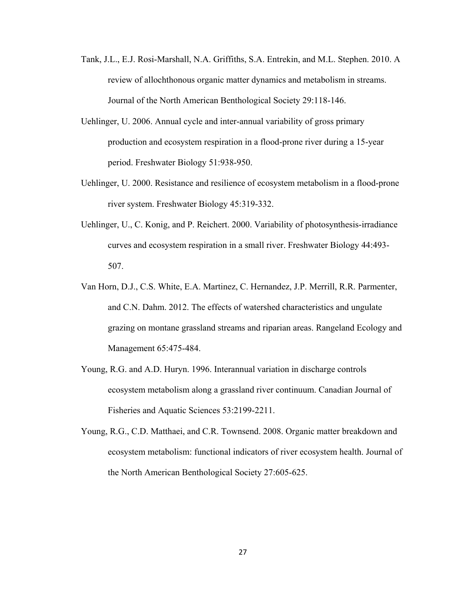- Tank, J.L., E.J. Rosi-Marshall, N.A. Griffiths, S.A. Entrekin, and M.L. Stephen. 2010. A review of allochthonous organic matter dynamics and metabolism in streams. Journal of the North American Benthological Society 29:118-146.
- Uehlinger, U. 2006. Annual cycle and inter-annual variability of gross primary production and ecosystem respiration in a flood-prone river during a 15-year period. Freshwater Biology 51:938-950.
- Uehlinger, U. 2000. Resistance and resilience of ecosystem metabolism in a flood-prone river system. Freshwater Biology 45:319-332.
- Uehlinger, U., C. Konig, and P. Reichert. 2000. Variability of photosynthesis-irradiance curves and ecosystem respiration in a small river. Freshwater Biology 44:493- 507.
- Van Horn, D.J., C.S. White, E.A. Martinez, C. Hernandez, J.P. Merrill, R.R. Parmenter, and C.N. Dahm. 2012. The effects of watershed characteristics and ungulate grazing on montane grassland streams and riparian areas. Rangeland Ecology and Management 65:475-484.
- Young, R.G. and A.D. Huryn. 1996. Interannual variation in discharge controls ecosystem metabolism along a grassland river continuum. Canadian Journal of Fisheries and Aquatic Sciences 53:2199-2211.
- Young, R.G., C.D. Matthaei, and C.R. Townsend. 2008. Organic matter breakdown and ecosystem metabolism: functional indicators of river ecosystem health. Journal of the North American Benthological Society 27:605-625.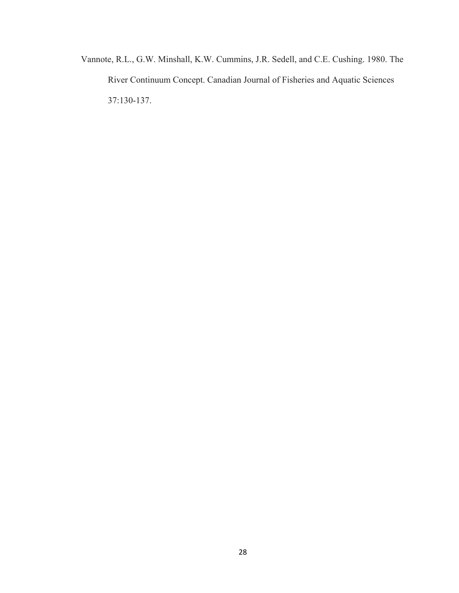Vannote, R.L., G.W. Minshall, K.W. Cummins, J.R. Sedell, and C.E. Cushing. 1980. The River Continuum Concept. Canadian Journal of Fisheries and Aquatic Sciences 37:130-137.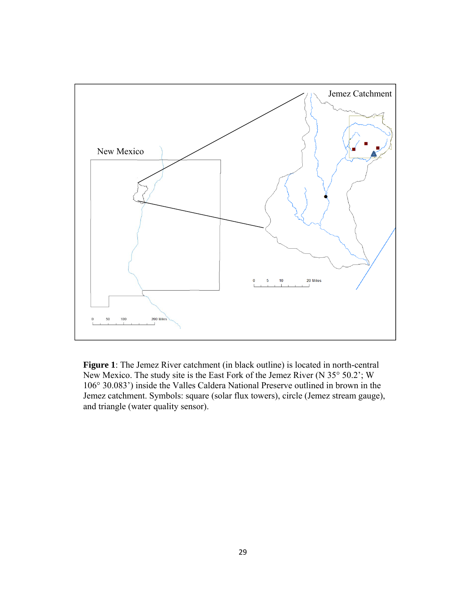

**Figure 1**: The Jemez River catchment (in black outline) is located in north-central New Mexico. The study site is the East Fork of the Jemez River (N 35° 50.2'; W 106° 30.083') inside the Valles Caldera National Preserve outlined in brown in the Jemez catchment. Symbols: square (solar flux towers), circle (Jemez stream gauge), and triangle (water quality sensor).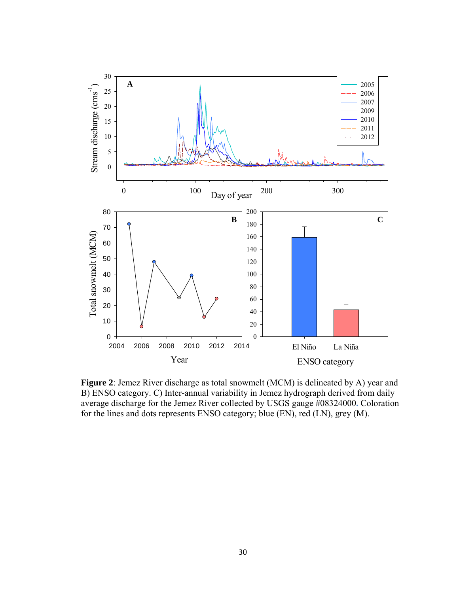

**Figure 2**: Jemez River discharge as total snowmelt (MCM) is delineated by A) year and B) ENSO category. C) Inter-annual variability in Jemez hydrograph derived from daily average discharge for the Jemez River collected by USGS gauge #08324000**.** Coloration for the lines and dots represents ENSO category; blue (EN), red (LN), grey (M).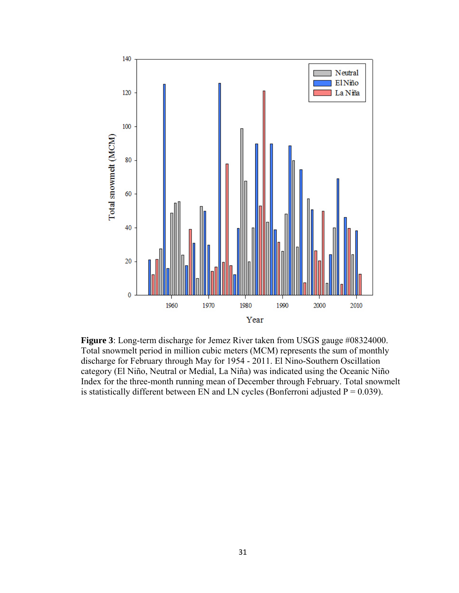

**Figure 3**: Long-term discharge for Jemez River taken from USGS gauge #08324000. Total snowmelt period in million cubic meters (MCM) represents the sum of monthly discharge for February through May for 1954 - 2011. El Nino-Southern Oscillation category (El Niño, Neutral or Medial, La Niña) was indicated using the Oceanic Niño Index for the three-month running mean of December through February. Total snowmelt is statistically different between EN and LN cycles (Bonferroni adjusted  $P = 0.039$ ).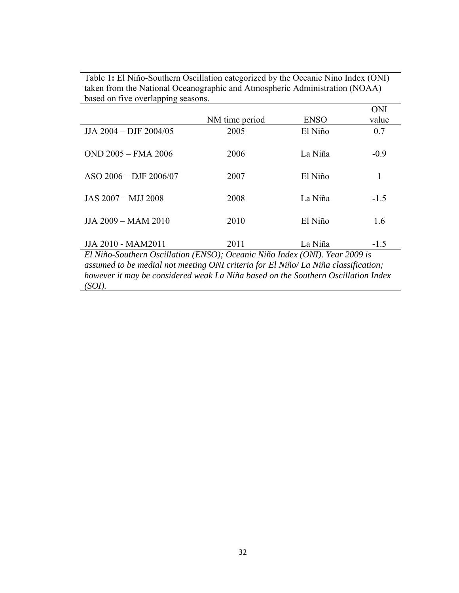Table 1**:** El Niño-Southern Oscillation categorized by the Oceanic Nino Index (ONI) taken from the National Oceanographic and Atmospheric Administration (NOAA) based on five overlapping seasons. ONI

|                                                                                    |                |             | ONI    |  |  |  |
|------------------------------------------------------------------------------------|----------------|-------------|--------|--|--|--|
|                                                                                    | NM time period | <b>ENSO</b> | value  |  |  |  |
| JJA 2004 - DJF 2004/05                                                             | 2005           | El Niño     | 0.7    |  |  |  |
| OND 2005 - FMA 2006                                                                | 2006           | La Niña     | $-0.9$ |  |  |  |
| $ASO$ 2006 – DJF 2006/07                                                           | 2007           | El Niño     | 1      |  |  |  |
| JAS 2007 - MJJ 2008                                                                | 2008           | La Niña     | $-1.5$ |  |  |  |
| JJA 2009 - MAM 2010                                                                | 2010           | El Niño     | 1.6    |  |  |  |
| JJA 2010 - MAM2011                                                                 | 2011           | La Niña     | $-1.5$ |  |  |  |
| El Niño-Southern Oscillation (ENSO); Oceanic Niño Index (ONI). Year 2009 is        |                |             |        |  |  |  |
| assumed to be medial not meeting ONI criteria for El Niño/ La Niña classification; |                |             |        |  |  |  |

*however it may be considered weak La Niña based on the Southern Oscillation Index* 

*(SOI).*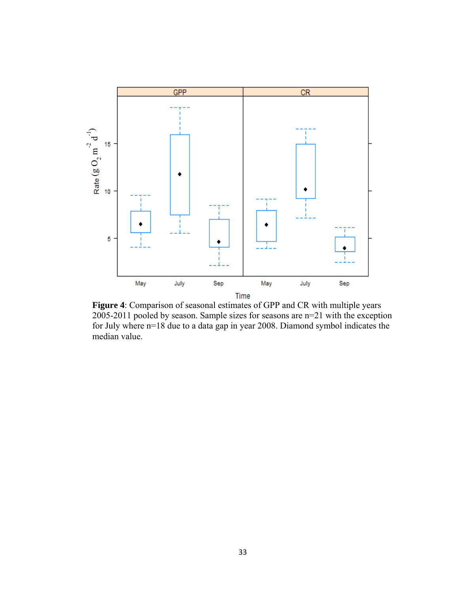

**Figure 4**: Comparison of seasonal estimates of GPP and CR with multiple years 2005-2011 pooled by season. Sample sizes for seasons are n=21 with the exception for July where n=18 due to a data gap in year 2008. Diamond symbol indicates the median value.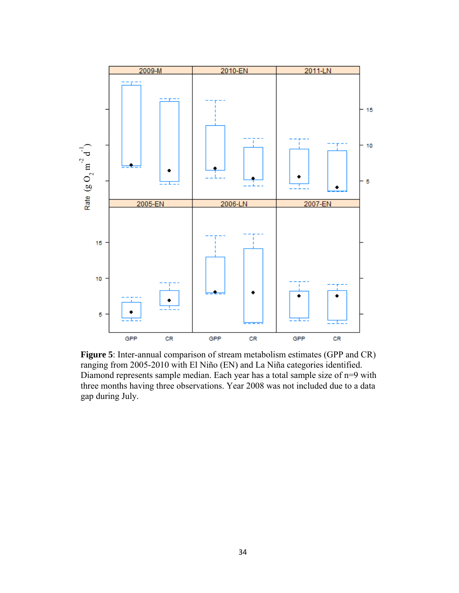

**Figure 5**: Inter-annual comparison of stream metabolism estimates (GPP and CR) ranging from 2005-2010 with El Niño (EN) and La Niña categories identified. Diamond represents sample median. Each year has a total sample size of n=9 with three months having three observations. Year 2008 was not included due to a data gap during July.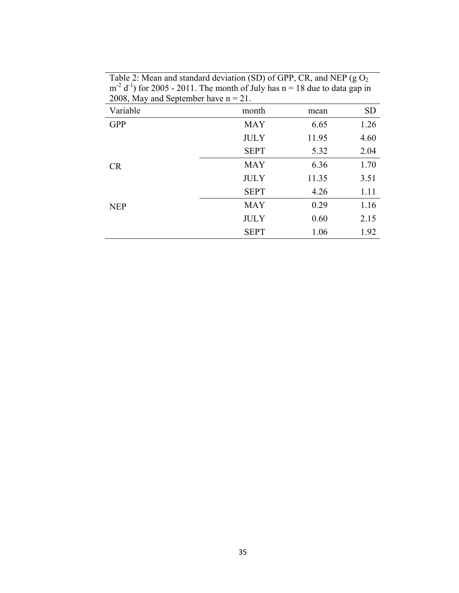| $2000, \text{mag}$ and $5000, \text{m}$ | <u>. </u>   |       |           |
|-----------------------------------------|-------------|-------|-----------|
| Variable                                | month       | mean  | <b>SD</b> |
| <b>GPP</b>                              | <b>MAY</b>  | 6.65  | 1.26      |
|                                         | <b>JULY</b> | 11.95 | 4.60      |
|                                         | <b>SEPT</b> | 5.32  | 2.04      |
| <b>CR</b>                               | <b>MAY</b>  | 6.36  | 1.70      |
|                                         | <b>JULY</b> | 11.35 | 3.51      |
|                                         | <b>SEPT</b> | 4.26  | 1.11      |
| <b>NEP</b>                              | <b>MAY</b>  | 0.29  | 1.16      |
|                                         | <b>JULY</b> | 0.60  | 2.15      |
|                                         | <b>SEPT</b> | 1.06  | 1.92      |

Table 2: Mean and standard deviation (SD) of GPP, CR, and NEP (g $O<sub>2</sub>$  $m^{-2}$  d<sup>-1</sup>) for 2005 - 2011. The month of July has  $n = 18$  due to data gap in 2008, May and September have  $n = 21$ .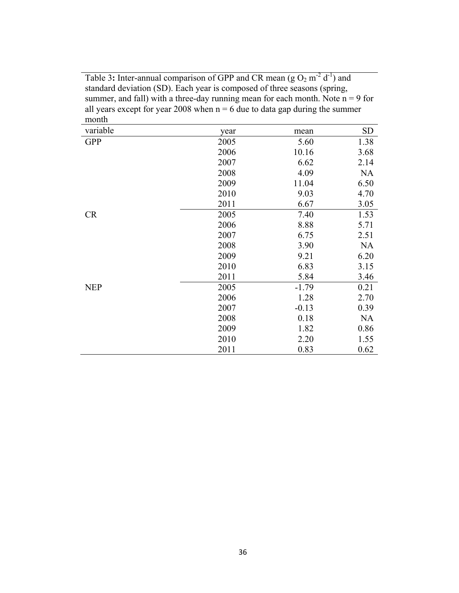Table 3: Inter-annual comparison of GPP and CR mean  $(g O_2 m^{-2} d^{-1})$  and standard deviation (SD). Each year is composed of three seasons (spring, summer, and fall) with a three-day running mean for each month. Note  $n = 9$  for all years except for year 2008 when  $n = 6$  due to data gap during the summer month

| variable   | year | mean    | <b>SD</b> |
|------------|------|---------|-----------|
| <b>GPP</b> | 2005 | 5.60    | 1.38      |
|            | 2006 | 10.16   | 3.68      |
|            | 2007 | 6.62    | 2.14      |
|            | 2008 | 4.09    | <b>NA</b> |
|            | 2009 | 11.04   | 6.50      |
|            | 2010 | 9.03    | 4.70      |
|            | 2011 | 6.67    | 3.05      |
| <b>CR</b>  | 2005 | 7.40    | 1.53      |
|            | 2006 | 8.88    | 5.71      |
|            | 2007 | 6.75    | 2.51      |
|            | 2008 | 3.90    | <b>NA</b> |
|            | 2009 | 9.21    | 6.20      |
|            | 2010 | 6.83    | 3.15      |
|            | 2011 | 5.84    | 3.46      |
| <b>NEP</b> | 2005 | $-1.79$ | 0.21      |
|            | 2006 | 1.28    | 2.70      |
|            | 2007 | $-0.13$ | 0.39      |
|            | 2008 | 0.18    | <b>NA</b> |
|            | 2009 | 1.82    | 0.86      |
|            | 2010 | 2.20    | 1.55      |
|            | 2011 | 0.83    | 0.62      |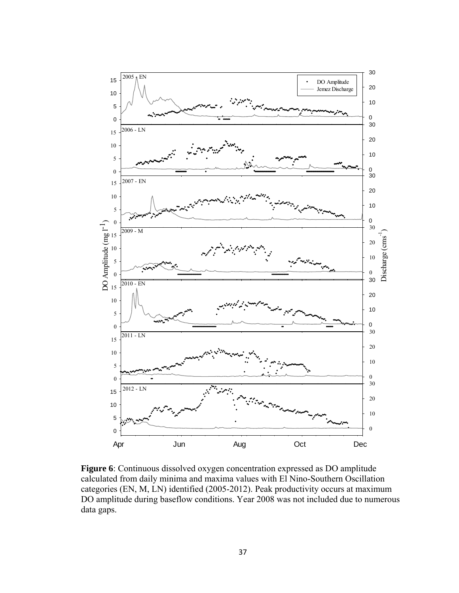

**Figure 6**: Continuous dissolved oxygen concentration expressed as DO amplitude calculated from daily minima and maxima values with El Nino-Southern Oscillation categories (EN, M, LN) identified (2005-2012). Peak productivity occurs at maximum DO amplitude during baseflow conditions. Year 2008 was not included due to numerous data gaps.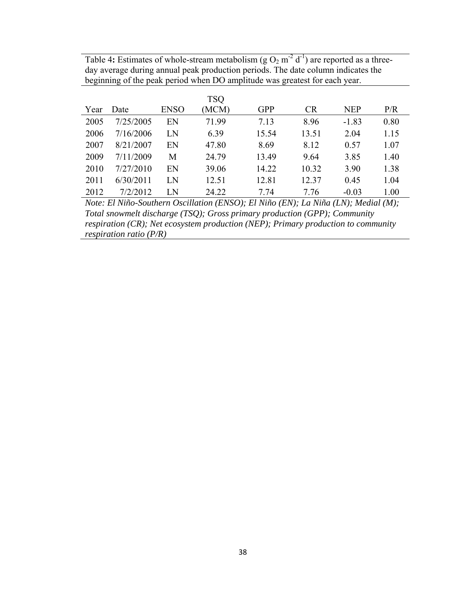Table 4: Estimates of whole-stream metabolism  $(g O_2 m^2 d^{-1})$  are reported as a threeday average during annual peak production periods. The date column indicates the beginning of the peak period when DO amplitude was greatest for each year.

|      |           |             | TSQ   |            |           |            |      |
|------|-----------|-------------|-------|------------|-----------|------------|------|
| Year | Date      | <b>ENSO</b> | (MCM) | <b>GPP</b> | <b>CR</b> | <b>NEP</b> | P/R  |
| 2005 | 7/25/2005 | EN          | 71.99 | 7.13       | 8.96      | $-1.83$    | 0.80 |
| 2006 | 7/16/2006 | LN          | 6.39  | 15.54      | 13.51     | 2.04       | 1.15 |
| 2007 | 8/21/2007 | EN          | 47.80 | 8.69       | 8.12      | 0.57       | 1.07 |
| 2009 | 7/11/2009 | М           | 24.79 | 13.49      | 9.64      | 3.85       | 1.40 |
| 2010 | 7/27/2010 | EN          | 39.06 | 14.22      | 10.32     | 3.90       | 1.38 |
| 2011 | 6/30/2011 | LN          | 12.51 | 12.81      | 12.37     | 0.45       | 1.04 |
| 2012 | 7/2/2012  | LΝ          | 24.22 | 7 74       | 7 76      | $-0.03$    | 1.00 |

*Note: El Niño-Southern Oscillation (ENSO); El Niño (EN); La Niña (LN); Medial (M); Total snowmelt discharge (TSQ); Gross primary production (GPP); Community respiration (CR); Net ecosystem production (NEP); Primary production to community respiration ratio (P/R)*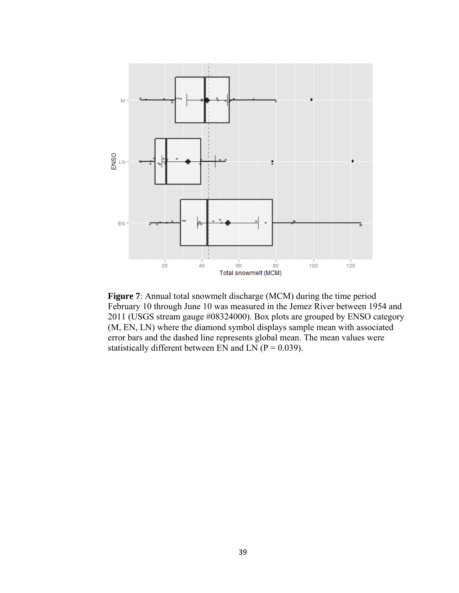

**Figure 7**: Annual total snowmelt discharge (MCM) during the time period February 10 through June 10 was measured in the Jemez River between 1954 and 2011 (USGS stream gauge #08324000). Box plots are grouped by ENSO category (M, EN, LN) where the diamond symbol displays sample mean with associated error bars and the dashed line represents global mean. The mean values were statistically different between EN and LN ( $P = 0.039$ ).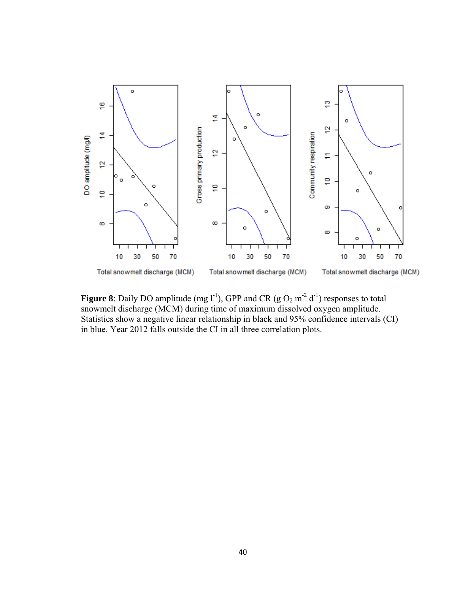

**Figure 8**: Daily DO amplitude (mg  $1^{-1}$ ), GPP and CR (g  $O_2$  m<sup>-2</sup> d<sup>-1</sup>) responses to total snowmelt discharge (MCM) during time of maximum dissolved oxygen amplitude. Statistics show a negative linear relationship in black and 95% confidence intervals (CI) in blue. Year 2012 falls outside the CI in all three correlation plots.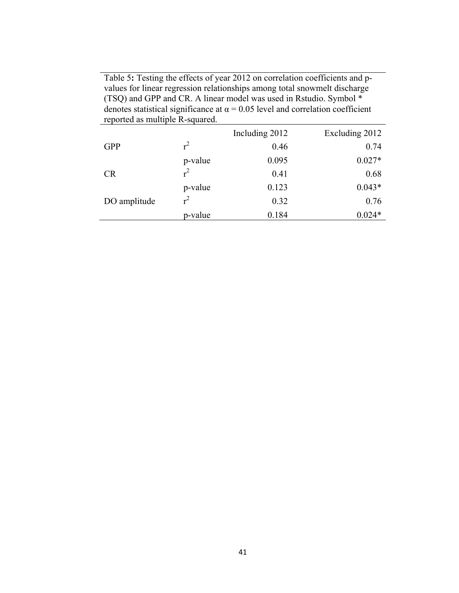Table 5**:** Testing the effects of year 2012 on correlation coefficients and pvalues for linear regression relationships among total snowmelt discharge (TSQ) and GPP and CR. A linear model was used in Rstudio. Symbol \* denotes statistical significance at  $\alpha$  = 0.05 level and correlation coefficient reported as multiple R-squared.

|              |         | Including 2012 | Excluding 2012 |
|--------------|---------|----------------|----------------|
| <b>GPP</b>   | $r^2$   | 0.46           | 0.74           |
|              | p-value | 0.095          | $0.027*$       |
| <b>CR</b>    | $r^2$   | 0.41           | 0.68           |
|              | p-value | 0.123          | $0.043*$       |
| DO amplitude | $r^2$   | 0.32           | 0.76           |
|              | p-value | 0.184          | $0.024*$       |